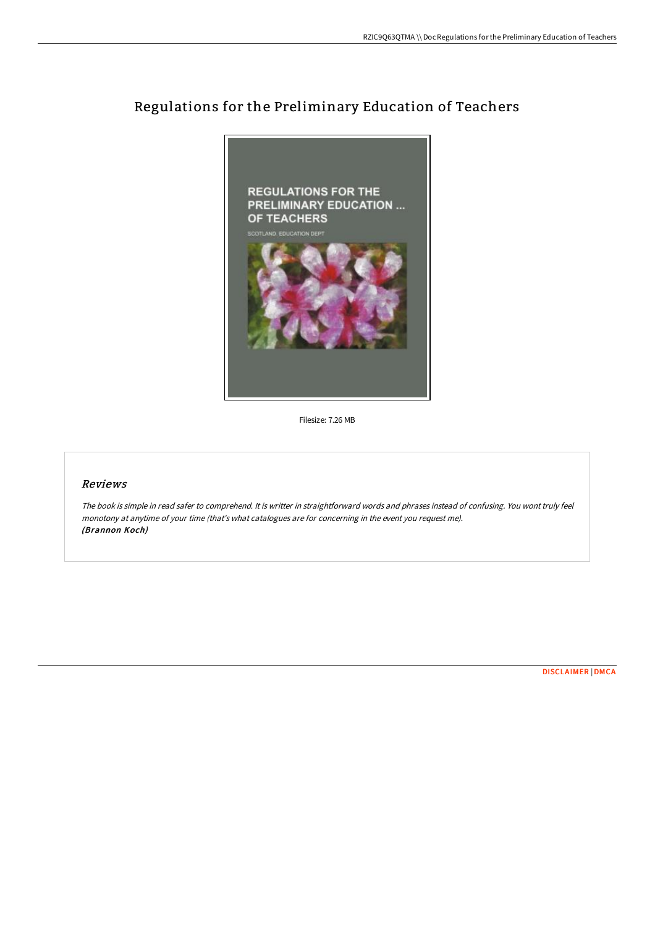

## Regulations for the Preliminary Education of Teachers

Filesize: 7.26 MB

## Reviews

The book is simple in read safer to comprehend. It is writter in straightforward words and phrases instead of confusing. You wont truly feel monotony at anytime of your time (that's what catalogues are for concerning in the event you request me). (Brannon Koch)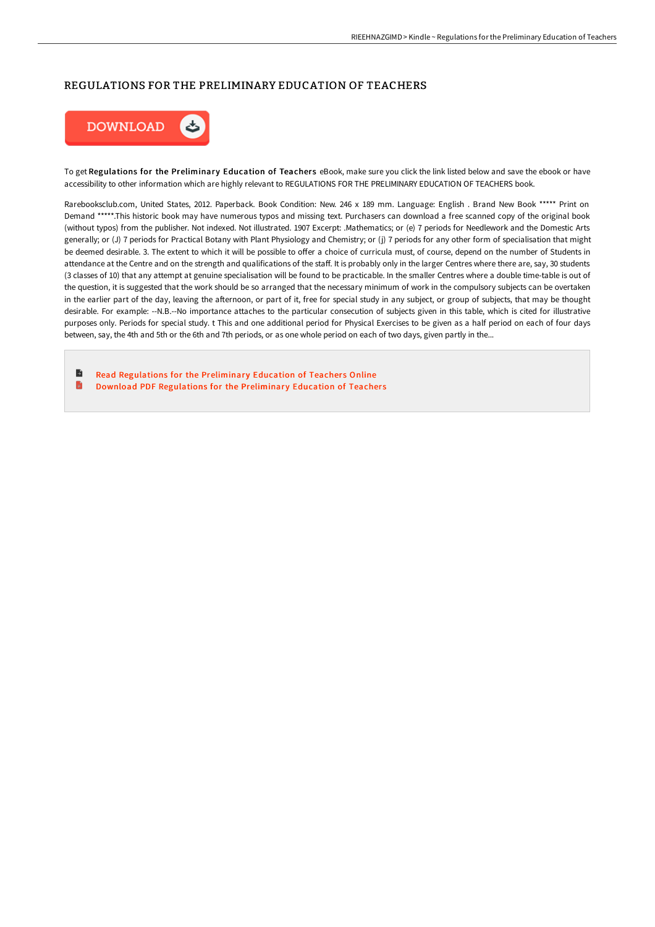## REGULATIONS FOR THE PRELIMINARY EDUCATION OF TEACHERS



To get Regulations for the Preliminary Education of Teachers eBook, make sure you click the link listed below and save the ebook or have accessibility to other information which are highly relevant to REGULATIONS FOR THE PRELIMINARY EDUCATION OF TEACHERS book.

Rarebooksclub.com, United States, 2012. Paperback. Book Condition: New. 246 x 189 mm. Language: English . Brand New Book \*\*\*\*\* Print on Demand \*\*\*\*\*.This historic book may have numerous typos and missing text. Purchasers can download a free scanned copy of the original book (without typos) from the publisher. Not indexed. Not illustrated. 1907 Excerpt: .Mathematics; or (e) 7 periods for Needlework and the Domestic Arts generally; or (J) 7 periods for Practical Botany with Plant Physiology and Chemistry; or (j) 7 periods for any other form of specialisation that might be deemed desirable. 3. The extent to which it will be possible to offer a choice of curricula must, of course, depend on the number of Students in attendance at the Centre and on the strength and qualifications of the staff. It is probably only in the larger Centres where there are, say, 30 students (3 classes of 10) that any attempt at genuine specialisation will be found to be practicable. In the smaller Centres where a double time-table is out of the question, it is suggested that the work should be so arranged that the necessary minimum of work in the compulsory subjects can be overtaken in the earlier part of the day, leaving the afternoon, or part of it, free for special study in any subject, or group of subjects, that may be thought desirable. For example: --N.B.--No importance attaches to the particular consecution of subjects given in this table, which is cited for illustrative purposes only. Periods for special study. t This and one additional period for Physical Exercises to be given as a half period on each of four days between, say, the 4th and 5th or the 6th and 7th periods, or as one whole period on each of two days, given partly in the...

B Read [Regulations](http://albedo.media/regulations-for-the-preliminary-education-of-tea.html) for the Preliminary Education of Teachers Online B Download PDF [Regulations](http://albedo.media/regulations-for-the-preliminary-education-of-tea.html) for the Preliminary Education of Teachers